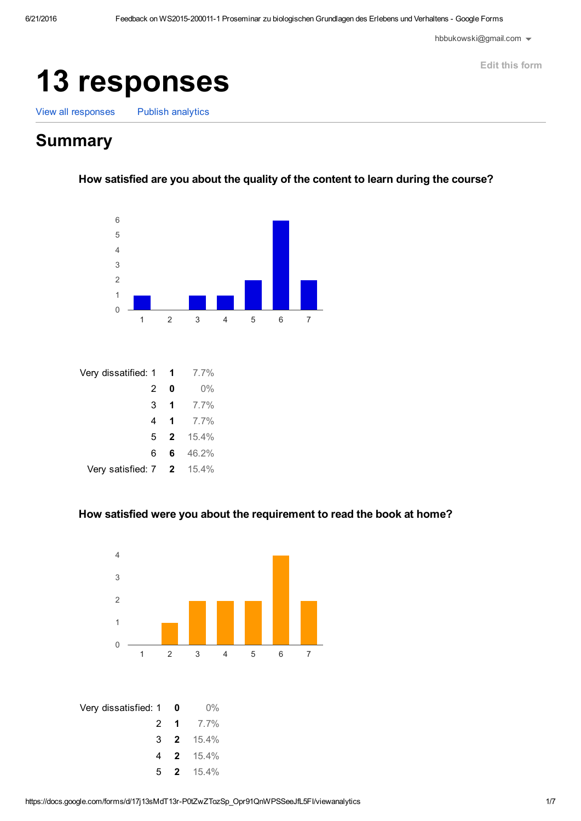[hbbukowski@gmail.com](https://accounts.google.com/SignOutOptions?hl=en&continue=https://docs.google.com/forms/d/17j13sMdT13r-P0tZwZTozSp_Opr91QnWPSSeeJfL5FI/viewanalytics)  $\blacktriangleright$ 

Edit this [form](https://docs.google.com/forms/d/17j13sMdT13r-P0tZwZTozSp_Opr91QnWPSSeeJfL5FI/edit)

# responses

View all [responses](https://docs.google.com/spreadsheets/d/1uv1sUR7nCYUW2PgdjLNNgNfksdffeezV1KboGpuzxXM?usp=forms_web_l#gid=33264760) Publish [analytics](https://docs.google.com/forms/d/17j13sMdT13r-P0tZwZTozSp_Opr91QnWPSSeeJfL5FI/edit#start=publishanalytics)

# **Summary**

How satisfied are you about the quality of the content to learn during the course?



| Very dissatified: 1 |                | $\blacksquare$          | $7.7\%$ |
|---------------------|----------------|-------------------------|---------|
|                     | 2              | 0                       | $0\%$   |
|                     | 3              | $\mathbf 1$             | 7.7%    |
|                     | 4              | -1                      | 7.7%    |
|                     | 5 <sup>1</sup> | $\overline{\mathbf{2}}$ | 15.4%   |
|                     | 6              | 6.                      | 46.2%   |
| Very satisfied: 7 2 |                |                         | 15.4%   |

#### How satisfied were you about the requirement to read the book at home?

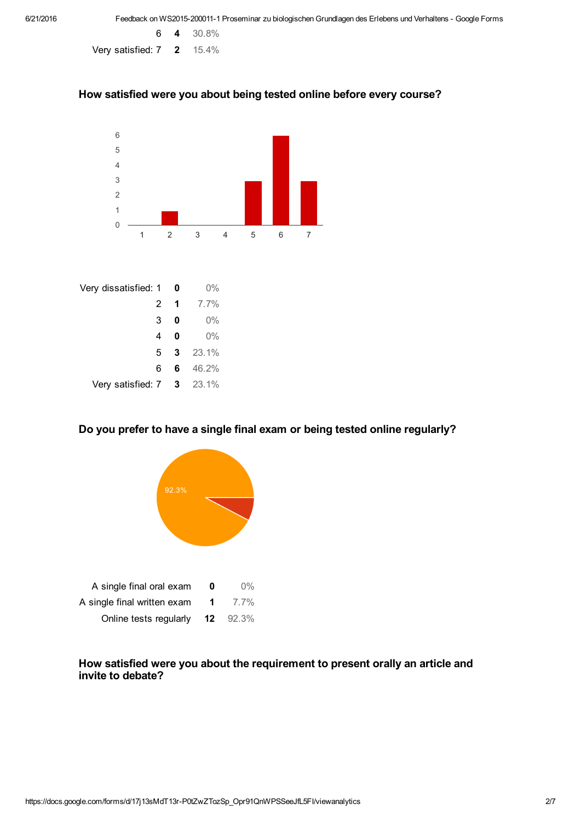6 4 30.8% Very satisfied: 7 2 15.4%

#### How satisfied were you about being tested online before every course?



| Very dissatisfied: 1 |    | 0                    | $0\%$   |
|----------------------|----|----------------------|---------|
|                      | 2  | $\blacktriangleleft$ | $7.7\%$ |
|                      | 3  | 0                    | $0\%$   |
|                      | 4  | 0                    | $0\%$   |
|                      | 5. | 3                    | 23.1%   |
|                      | 6  | 6.                   | 46.2%   |
| Very satisfied: 7 3  |    |                      | 23.1%   |

## Do you prefer to have a single final exam or being tested online regularly?



## How satisfied were you about the requirement to present orally an article and invite to debate?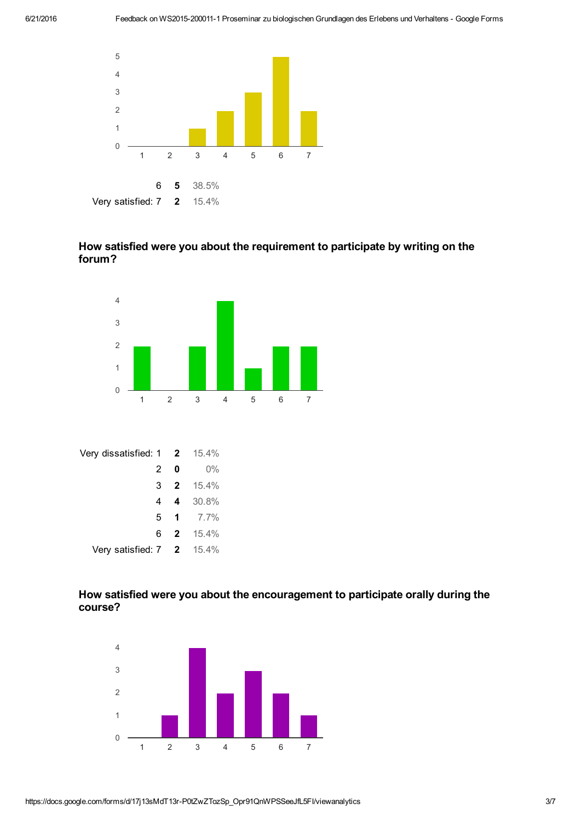

# How satisfied were you about the requirement to participate by writing on the forum?



| Very dissatisfied: 1 2                   |                         | 15.4%       |
|------------------------------------------|-------------------------|-------------|
| 2                                        | 0                       | $0\%$       |
| 3                                        | $\overline{\mathbf{2}}$ | 15.4%       |
|                                          |                         | 4 4 30.8%   |
|                                          |                         | 5 1 $7.7\%$ |
| 6.                                       |                         | 2 15.4%     |
| Very satisfied: $7 \quad 2 \quad 15.4\%$ |                         |             |

# How satisfied were you about the encouragement to participate orally during the course?

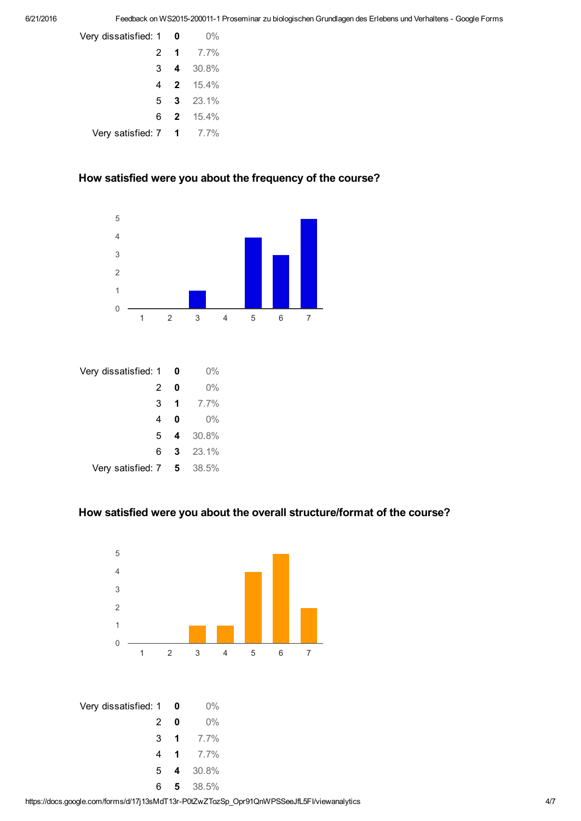| Very dissatisfied: 1 0                  |   | $0\%$            |
|-----------------------------------------|---|------------------|
|                                         |   | 2 1 $7.7\%$      |
|                                         |   | 3 4 30.8%        |
|                                         |   | 4 <b>2</b> 15.4% |
|                                         | 5 | $3\quad 23.1\%$  |
|                                         |   | 6 <b>2</b> 15.4% |
| Very satisfied: $7 \quad 1 \quad 7.7\%$ |   |                  |

## How satisfied were you about the frequency of the course?



| Very dissatisfied: 1 |   | 0  | 0%      |
|----------------------|---|----|---------|
|                      | 2 | 0  | $0\%$   |
|                      | 3 | -1 | $7.7\%$ |
|                      | 4 | O  | $0\%$   |
|                      | 5 | 4  | 30.8%   |
|                      | 6 | 3  | 23.1%   |
| Very satisfied: 7    |   | 5  | 38.5%   |

#### How satisfied were you about the overall structure/format of the course?

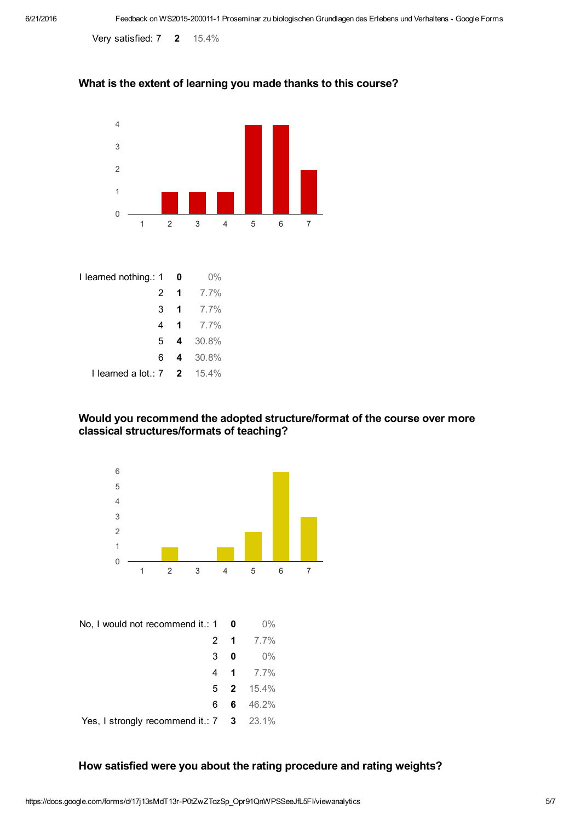Very satisfied: 7 2 15.4%

# What is the extent of learning you made thanks to this course?



| I learned nothing.: 1         | 0                    | $0\%$   |
|-------------------------------|----------------------|---------|
| 2                             | $\mathbf 1$          | 7.7%    |
| 3                             | $\blacktriangleleft$ | 7.7%    |
| 4                             | $\mathbf 1$          | 7.7%    |
| 5                             |                      | 4 30.8% |
| 6.                            | 4                    | 30.8%   |
| I learned a lot.: $7 \quad 2$ |                      | 15.4%   |

#### Would you recommend the adopted structure/format of the course over more classical structures/formats of teaching?



Yes, I strongly recommend it.: 7 3 23.1%

#### How satisfied were you about the rating procedure and rating weights?

6 46.2%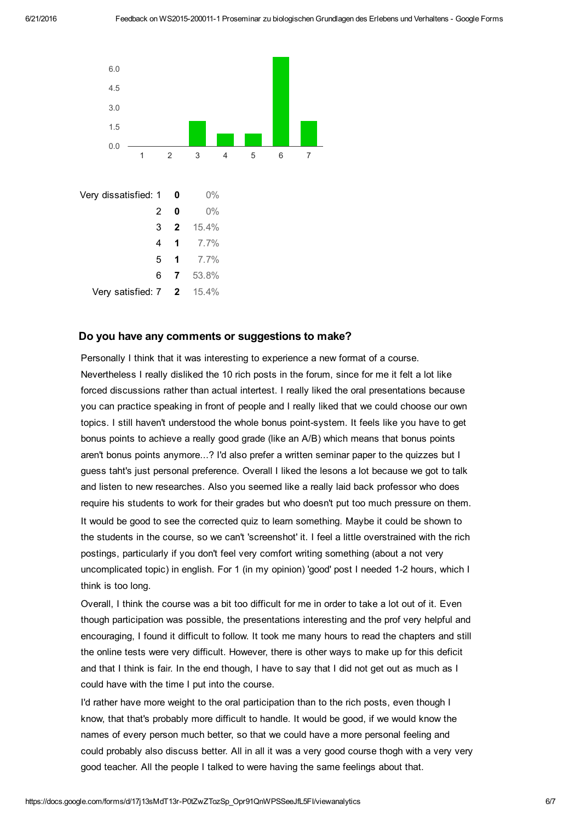

#### Do you have any comments or suggestions to make?

Personally I think that it was interesting to experience a new format of a course. Nevertheless I really disliked the 10 rich posts in the forum, since for me it felt a lot like forced discussions rather than actual intertest. I really liked the oral presentations because you can practice speaking in front of people and I really liked that we could choose our own topics. I still haven't understood the whole bonus point-system. It feels like you have to get bonus points to achieve a really good grade (like an A/B) which means that bonus points aren't bonus points anymore...? I'd also prefer a written seminar paper to the quizzes but I guess taht's just personal preference. Overall I liked the lesons a lot because we got to talk and listen to new researches. Also you seemed like a really laid back professor who does require his students to work for their grades but who doesn't put too much pressure on them. It would be good to see the corrected quiz to learn something. Maybe it could be shown to the students in the course, so we can't 'screenshot' it. I feel a little overstrained with the rich postings, particularly if you don't feel very comfort writing something (about a not very uncomplicated topic) in english. For 1 (in my opinion) 'good' post I needed 12 hours, which I think is too long.

Overall, I think the course was a bit too difficult for me in order to take a lot out of it. Even though participation was possible, the presentations interesting and the prof very helpful and encouraging, I found it difficult to follow. It took me many hours to read the chapters and still the online tests were very difficult. However, there is other ways to make up for this deficit and that I think is fair. In the end though, I have to say that I did not get out as much as I could have with the time I put into the course.

I'd rather have more weight to the oral participation than to the rich posts, even though I know, that that's probably more difficult to handle. It would be good, if we would know the names of every person much better, so that we could have a more personal feeling and could probably also discuss better. All in all it was a very good course thogh with a very very good teacher. All the people I talked to were having the same feelings about that.